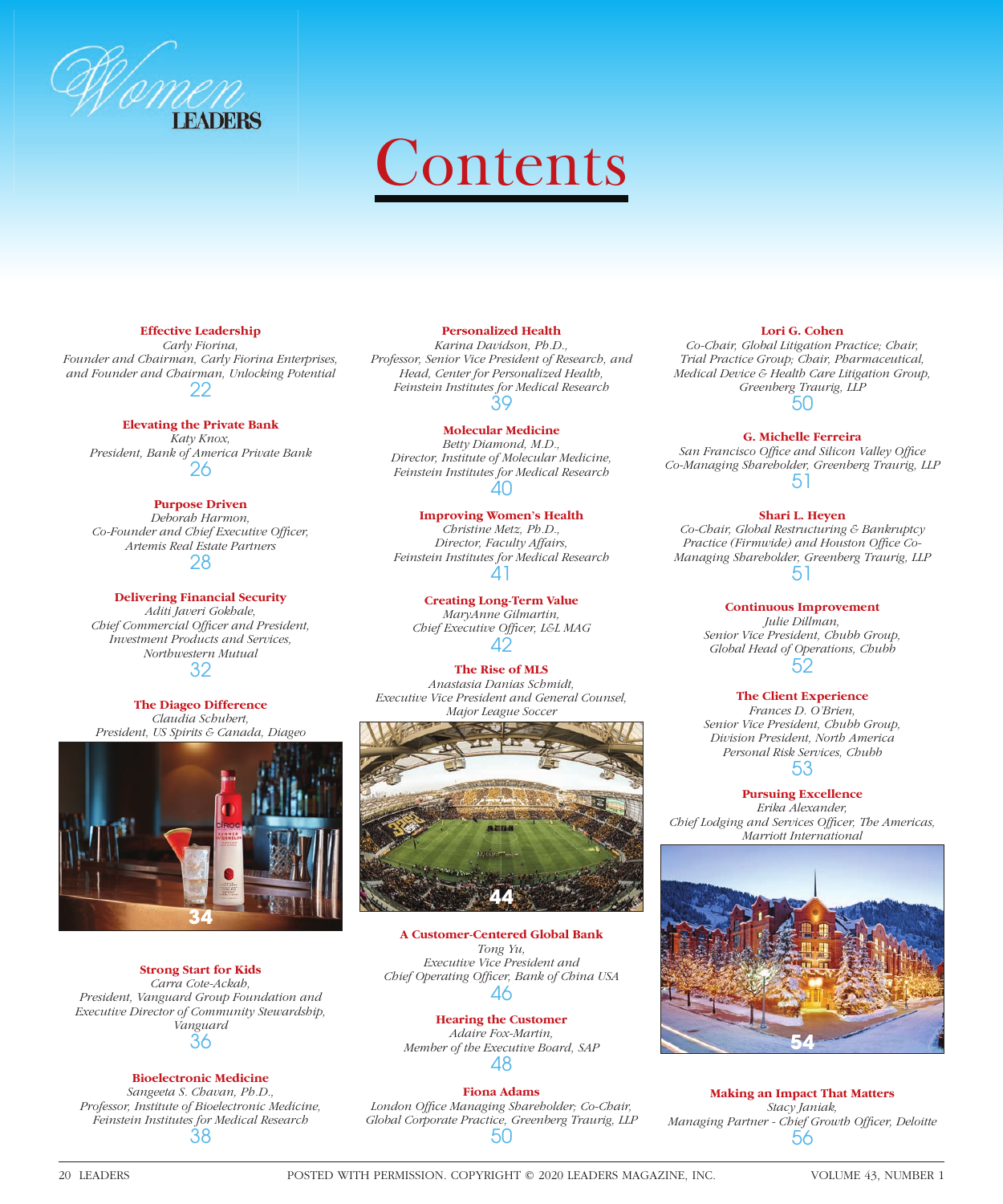

# **Contents**

## **Effective Leadership**

*Carly Fiorina, Founder and Chairman, Carly Fiorina Enterprises, and Founder and Chairman, Unlocking Potential* 22

#### **Elevating the Private Bank**

*Katy Knox, President, Bank of America Private Bank* 26

# **Purpose Driven**

 *Deborah Harmon,*  Co-Founder and Chief Executive Officer, *Artemis Real Estate Partners* 28

**Delivering Financial Security** *Aditi Javeri Gokhale, Chief Commercial Officer and President, Investment Products and Services, Northwestern Mutual* 32

**The Diageo Difference** *Claudia Schubert, President, US Spirits & Canada, Diageo*



**Strong Start for Kids** *Carra Cote-Ackah, President, Vanguard Group Foundation and Executive Director of Community Stewardship, Vanguard* 36

# **Bioelectronic Medicine**

*Sangeeta S. Chavan, Ph.D., Professor, Institute of Bioelectronic Medicine, Feinstein Institutes for Medical Research* 38

#### **Personalized Health**

*Karina Davidson, Ph.D., Professor, Senior Vice President of Research, and Head, Center for Personalized Health, Feinstein Institutes for Medical Research* 39

## **Molecular Medicine**

*Betty Diamond, M.D., Director, Institute of Molecular Medicine, Feinstein Institutes for Medical Research* 40

# **Improving Women's Health**

*Christine Metz, Ph.D., Director, Faculty Affairs, Feinstein Institutes for Medical Research* 41

# **Creating Long-Term Value**

*MaryAnne Gilmartin,*  **Chief Executive Officer, L&L MAG** 42

# **The Rise of MLS**

 *Anastasia Danias Schmidt, Executive Vice President and General Counsel, Major League Soccer*



**A Customer-Centered Global Bank** *Tong Yu, Executive Vice President and Chief Operating Offi cer, Bank of China USA* 46

#### **Hearing the Customer** *Adaire Fox-Martin,*

*Member of the Executive Board, SAP* 48

# **Fiona Adams**

London Office Managing Shareholder; Co-Chair, *Global Corporate Practice, Greenberg Traurig, LLP* 50

#### **Lori G. Cohen**

*Co-Chair, Global Litigation Practice; Chair, Trial Practice Group; Chair, Pharmaceutical, Medical Device & Health Care Litigation Group, Greenberg Traurig, LLP* 50

## **G. Michelle Ferreira**

San Francisco Office and Silicon Valley Office *Co-Managing Shareholder, Greenberg Traurig, LLP* 51

## **Shari L. Heyen**

*Co-Chair, Global Restructuring & Bankruptcy*  Practice (Firmwide) and Houston Office Co-*Managing Shareholder, Greenberg Traurig, LLP* 51

#### **Continuous Improvement**

*Julie Dillman, Senior Vice President, Chubb Group, Global Head of Operations, Chubb* 52

#### **The Client Experience**

*Frances D. O'Brien, Senior Vice President, Chubb Group, Division President, North America Personal Risk Services, Chubb* 53

**Pursuing Excellence**

*Erika Alexander, Chief Lodging and Services Officer, The Americas, Marriott International*



**Making an Impact That Matters** *Stacy Janiak,*  **Managing Partner - Chief Growth Officer, Deloitte** 56